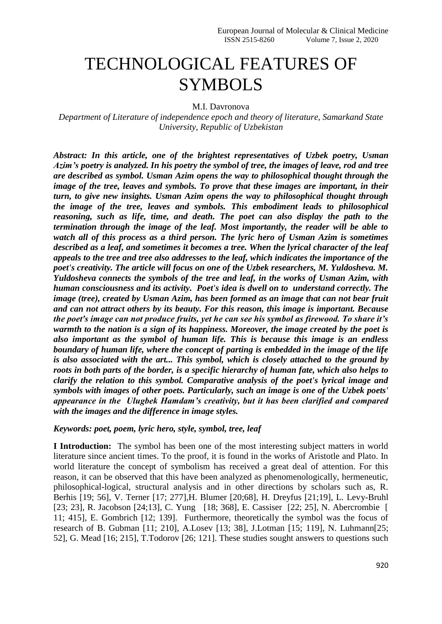## TECHNOLOGICAL FEATURES OF SYMBOLS

M.I. Davronova

*Department of Literature of independence epoch and theory of literature, Samarkand State University, Republic of Uzbekistan*

*Abstract: In this article, one of the brightest representatives of Uzbek poetry, Usman Azim's poetry is analyzed. In his poetry the symbol of tree, the images of leave, rod and tree are described as symbol. Usman Azim opens the way to philosophical thought through the image of the tree, leaves and symbols. To prove that these images are important, in their turn, to give new insights. Usman Azim opens the way to philosophical thought through the image of the tree, leaves and symbols. This embodiment leads to philosophical reasoning, such as life, time, and death. The poet can also display the path to the termination through the image of the leaf. Most importantly, the reader will be able to watch all of this process as a third person. The lyric hero of Usman Azim is sometimes described as a leaf, and sometimes it becomes a tree. When the lyrical character of the leaf appeals to the tree and tree also addresses to the leaf, which indicates the importance of the poet's creativity. The article will focus on one of the Uzbek researchers, M. Yuldosheva. M. Yuldosheva connects the symbols of the tree and leaf, in the works of Usman Azim, with human consciousness and its activity. Poet's idea is dwell on to understand correctly. The image (tree), created by Usman Azim, has been formed as an image that can not bear fruit and can not attract others by its beauty. For this reason, this image is important. Because the poet's image can not produce fruits, yet he can see his symbol as firewood. To share it's warmth to the nation is a sign of its happiness. Moreover, the image created by the poet is also important as the symbol of human life. This is because this image is an endless boundary of human life, where the concept of parting is embedded in the image of the life is also associated with the art... This symbol, which is closely attached to the ground by roots in both parts of the border, is a specific hierarchy of human fate, which also helps to clarify the relation to this symbol. Comparative analysis of the poet's lyrical image and symbols with images of other poets. Particularly, such an image is one of the Uzbek poets' appearance in the Ulugbek Hamdam's creativity, but it has been clarified and compared with the images and the difference in image styles.*

## *Keywords: poet, poem, lyric hero, style, symbol, tree, leaf*

**I Introduction:** The symbol has been one of the most interesting subject matters in world literature since ancient times. To the proof, it is found in the works of Aristotle and Plato. In world literature the concept of symbolism has received a great deal of attention. For this reason, it can be observed that this have been analyzed as phenomenologically, hermeneutic, philosophical-logical, structural analysis and in other directions by scholars such as, R. Berhis [19; 56], V. Terner [17; 277],H. Blumer [20;68], H. Dreyfus [21;19], L. Levy-Bruhl [23; 23], R. Jacobson [24;13], C. Yung [18; 368], E. Cassiser [22; 25], N. Abercrombie [ 11; 415], E. Gombrich [12; 139]. Furthermore, theoretically the symbol was the focus of research of B. Gubman [11; 210], A.Losev [13; 38], J.Lotman [15; 119], N. Luhmann[25; 52], G. Mead [16; 215], T.Todorov [26; 121]. These studies sought answers to questions such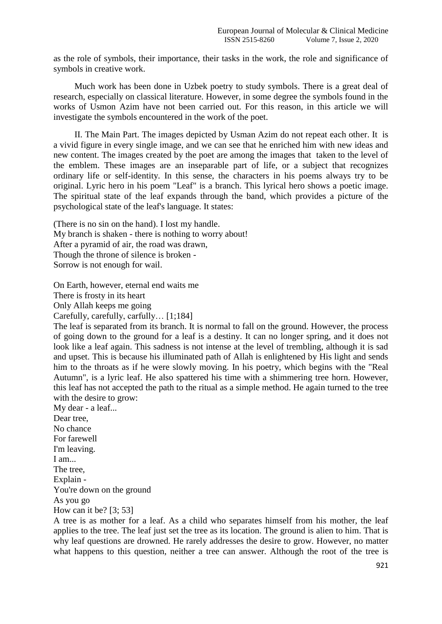as the role of symbols, their importance, their tasks in the work, the role and significance of symbols in creative work.

Much work has been done in Uzbek poetry to study symbols. There is a great deal of research, especially on classical literature. However, in some degree the symbols found in the works of Usmon Azim have not been carried out. For this reason, in this article we will investigate the symbols encountered in the work of the poet.

II. The Main Part. The images depicted by Usman Azim do not repeat each other. It is a vivid figure in every single image, and we can see that he enriched him with new ideas and new content. The images created by the poet are among the images that taken to the level of the emblem. These images are an inseparable part of life, or a subject that recognizes ordinary life or self-identity. In this sense, the characters in his poems always try to be original. Lyric hero in his poem "Leaf" is a branch. This lyrical hero shows a poetic image. The spiritual state of the leaf expands through the band, which provides a picture of the psychological state of the leaf's language. It states:

(There is no sin on the hand). I lost my handle. My branch is shaken - there is nothing to worry about! After a pyramid of air, the road was drawn, Though the throne of silence is broken - Sorrow is not enough for wail.

On Earth, however, eternal end waits me There is frosty in its heart Only Allah keeps me going

Carefully, carefully, carfully… [1;184]

The leaf is separated from its branch. It is normal to fall on the ground. However, the process of going down to the ground for a leaf is a destiny. It can no longer spring, and it does not look like a leaf again. This sadness is not intense at the level of trembling, although it is sad and upset. This is because his illuminated path of Allah is enlightened by His light and sends him to the throats as if he were slowly moving. In his poetry, which begins with the "Real Autumn", is a lyric leaf. He also spattered his time with a shimmering tree horn. However, this leaf has not accepted the path to the ritual as a simple method. He again turned to the tree with the desire to grow:

My dear - a leaf... Dear tree, No chance For farewell I'm leaving. I am... The tree, Explain - You're down on the ground As you go How can it be?  $[3; 53]$ 

A tree is as mother for a leaf. As a child who separates himself from his mother, the leaf applies to the tree. The leaf just set the tree as its location. The ground is alien to him. That is why leaf questions are drowned. He rarely addresses the desire to grow. However, no matter what happens to this question, neither a tree can answer. Although the root of the tree is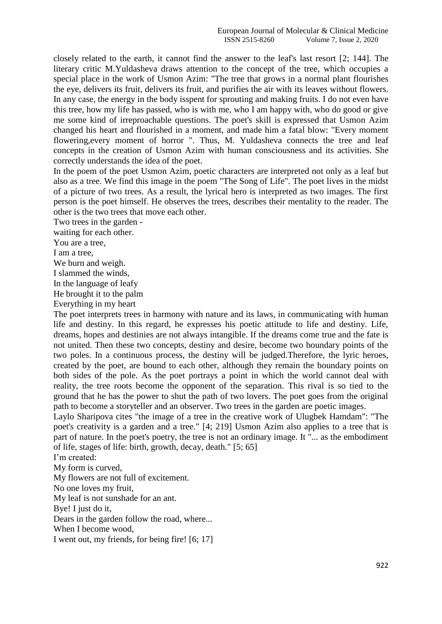closely related to the earth, it cannot find the answer to the leaf's last resort [2; 144]. The literary critic M.Yuldasheva draws attention to the concept of the tree, which occupies a special place in the work of Usmon Azim: "The tree that grows in a normal plant flourishes the eye, delivers its fruit, delivers its fruit, and purifies the air with its leaves without flowers. In any case, the energy in the body isspent for sprouting and making fruits. I do not even have this tree, how my life has passed, who is with me, who I am happy with, who do good or give me some kind of irreproachable questions. The poet's skill is expressed that Usmon Azim changed his heart and flourished in a moment, and made him a fatal blow: "Every moment flowering,every moment of horror ". Thus, M. Yuldasheva connects the tree and leaf concepts in the creation of Usmon Azim with human consciousness and its activities. She correctly understands the idea of the poet.

In the poem of the poet Usmon Azim, poetic characters are interpreted not only as a leaf but also as a tree. We find this image in the poem "The Song of Life". The poet lives in the midst of a picture of two trees. As a result, the lyrical hero is interpreted as two images. The first person is the poet himself. He observes the trees, describes their mentality to the reader. The other is the two trees that move each other.

Two trees in the garden -

waiting for each other.

You are a tree,

I am a tree,

We burn and weigh.

I slammed the winds,

In the language of leafy

He brought it to the palm

Everything in my heart

The poet interprets trees in harmony with nature and its laws, in communicating with human life and destiny. In this regard, he expresses his poetic attitude to life and destiny. Life, dreams, hopes and destinies are not always intangible. If the dreams come true and the fate is not united. Then these two concepts, destiny and desire, become two boundary points of the two poles. In a continuous process, the destiny will be judged.Therefore, the lyric heroes, created by the poet, are bound to each other, although they remain the boundary points on both sides of the pole. As the poet portrays a point in which the world cannot deal with reality, the tree roots become the opponent of the separation. This rival is so tied to the ground that he has the power to shut the path of two lovers. The poet goes from the original path to become a storyteller and an observer. Two trees in the garden are poetic images.

Laylo Sharipova cites "the image of a tree in the creative work of Ulugbek Hamdam": "The poet's creativity is a garden and a tree." [4; 219] Usmon Azim also applies to a tree that is part of nature. In the poet's poetry, the tree is not an ordinary image. It "... as the embodiment of life, stages of life: birth, growth, decay, death." [5; 65]

I'm created:

My form is curved,

My flowers are not full of excitement.

No one loves my fruit,

My leaf is not sunshade for an ant.

Bye! I just do it,

Dears in the garden follow the road, where...

When I become wood,

I went out, my friends, for being fire! [6; 17]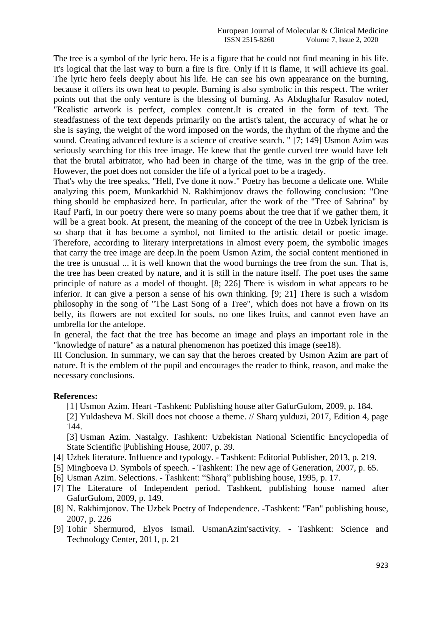The tree is a symbol of the lyric hero. He is a figure that he could not find meaning in his life. It's logical that the last way to burn a fire is fire. Only if it is flame, it will achieve its goal. The lyric hero feels deeply about his life. He can see his own appearance on the burning, because it offers its own heat to people. Burning is also symbolic in this respect. The writer points out that the only venture is the blessing of burning. As Abdughafur Rasulov noted, "Realistic artwork is perfect, complex content.It is created in the form of text. The steadfastness of the text depends primarily on the artist's talent, the accuracy of what he or she is saying, the weight of the word imposed on the words, the rhythm of the rhyme and the sound. Creating advanced texture is a science of creative search. " [7; 149] Usmon Azim was seriously searching for this tree image. He knew that the gentle curved tree would have felt that the brutal arbitrator, who had been in charge of the time, was in the grip of the tree. However, the poet does not consider the life of a lyrical poet to be a tragedy.

That's why the tree speaks, "Hell, I've done it now." Poetry has become a delicate one. While analyzing this poem, Munkarkhid N. Rakhimjonov draws the following conclusion: "One thing should be emphasized here. In particular, after the work of the "Tree of Sabrina" by Rauf Parfi, in our poetry there were so many poems about the tree that if we gather them, it will be a great book. At present, the meaning of the concept of the tree in Uzbek lyricism is so sharp that it has become a symbol, not limited to the artistic detail or poetic image. Therefore, according to literary interpretations in almost every poem, the symbolic images that carry the tree image are deep.In the poem Usmon Azim, the social content mentioned in the tree is unusual ... it is well known that the wood burnings the tree from the sun. That is, the tree has been created by nature, and it is still in the nature itself. The poet uses the same principle of nature as a model of thought. [8; 226] There is wisdom in what appears to be inferior. It can give a person a sense of his own thinking. [9; 21] There is such a wisdom philosophy in the song of "The Last Song of a Tree", which does not have a frown on its belly, its flowers are not excited for souls, no one likes fruits, and cannot even have an umbrella for the antelope.

In general, the fact that the tree has become an image and plays an important role in the "knowledge of nature" as a natural phenomenon has poetized this image (see18).

III Conclusion. In summary, we can say that the heroes created by Usmon Azim are part of nature. It is the emblem of the pupil and encourages the reader to think, reason, and make the necessary conclusions.

## **References:**

- [1] Usmon Azim. Heart -Tashkent: Publishing house after GafurGulom, 2009, p. 184.
- [2] Yuldasheva M. Skill does not choose a theme. // Sharq yulduzi, 2017, Edition 4, page 144.

[3] Usman Azim. Nastalgy. Tashkent: Uzbekistan National Scientific Encyclopedia of State Scientific |Publishing House, 2007, p. 39.

- [4] Uzbek literature. Influence and typology. Tashkent: Editorial Publisher, 2013, p. 219.
- [5] Mingboeva D. Symbols of speech. Tashkent: The new age of Generation, 2007, p. 65.
- [6] Usman Azim. Selections. Tashkent: "Sharq" publishing house, 1995, p. 17.
- [7] The Literature of Independent period. Tashkent, publishing house named after GafurGulom, 2009, p. 149.
- [8] N. Rakhimjonov. The Uzbek Poetry of Independence. -Tashkent: "Fan" publishing house, 2007, p. 226
- [9] Tohir Shermurod, Elyos Ismail. UsmanAzim'sactivity. Tashkent: Science and Technology Center, 2011, p. 21